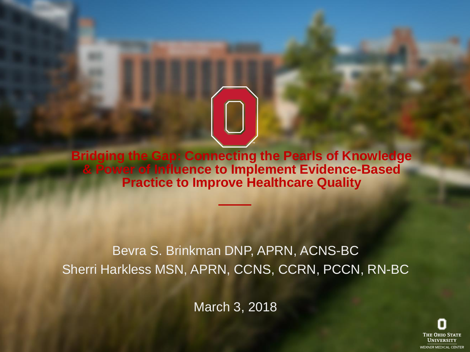**Bridging the Gap: Connecting the Pearls of Knowledge & Power of Influence to Implement Evidence-Based Practice to Improve Healthcare Quality**

#### Bevra S. Brinkman DNP, APRN, ACNS-BC Sherri Harkless MSN, APRN, CCNS, CCRN, PCCN, RN-BC

March 3, 2018

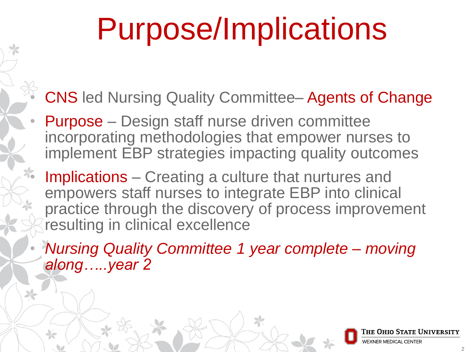## Purpose/Implications

- CNS led Nursing Quality Committee– Agents of Change
- Purpose Design staff nurse driven committee incorporating methodologies that empower nurses to implement EBP strategies impacting quality outcomes
- Implications Creating a culture that nurtures and empowers staff nurses to integrate EBP into clinical practice through the discovery of process improvement resulting in clinical excellence
- *Nursing Quality Committee 1 year complete – moving along…..year 2*

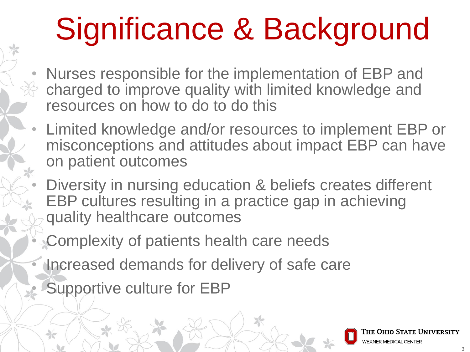# Significance & Background

- Nurses responsible for the implementation of EBP and charged to improve quality with limited knowledge and resources on how to do to do this
- Limited knowledge and/or resources to implement EBP or misconceptions and attitudes about impact EBP can have on patient outcomes
	- Diversity in nursing education & beliefs creates different EBP cultures resulting in a practice gap in achieving quality healthcare outcomes
	- Complexity of patients health care needs
- Increased demands for delivery of safe care
	- Supportive culture for EBP

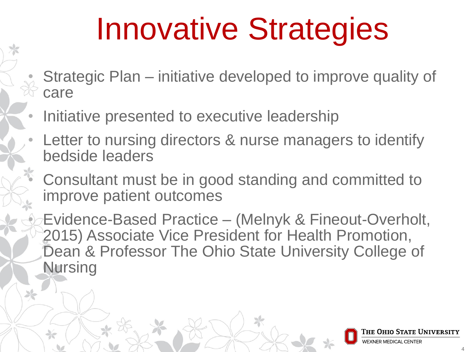## Innovative Strategies

- Strategic Plan initiative developed to improve quality of care
- Initiative presented to executive leadership
- Letter to nursing directors & nurse managers to identify bedside leaders
- Consultant must be in good standing and committed to improve patient outcomes

• Evidence-Based Practice – (Melnyk & Fineout-Overholt, 2015) Associate Vice President for Health Promotion, Dean & Professor The Ohio State University College of Nursing

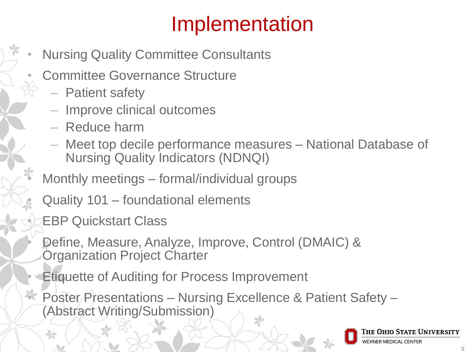### Implementation

- Nursing Quality Committee Consultants
- Committee Governance Structure
	- Patient safety
	- ‒ Improve clinical outcomes
	- ‒ Reduce harm
	- ‒ Meet top decile performance measures National Database of Nursing Quality Indicators (NDNQI)
- Monthly meetings formal/individual groups
- Quality 101 foundational elements
- EBP Quickstart Class
- Define, Measure, Analyze, Improve, Control (DMAIC) & Organization Project Charter
- **Etiquette of Auditing for Process Improvement**
- Poster Presentations Nursing Excellence & Patient Safety (Abstract Writing/Submission)

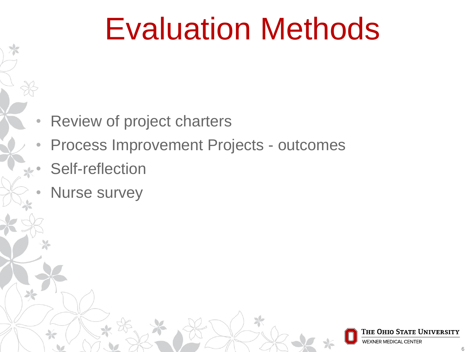### Evaluation Methods

- Review of project charters
- Process Improvement Projects outcomes
- Self-reflection
- Nurse survey

6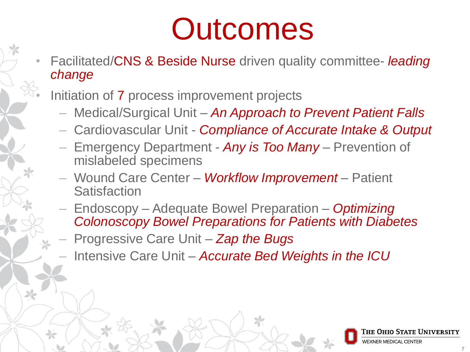### **Outcomes**

- Facilitated/CNS & Beside Nurse driven quality committee- *leading change*
	- Initiation of 7 process improvement projects
		- ‒ Medical/Surgical Unit *An Approach to Prevent Patient Falls*
		- ‒ Cardiovascular Unit *Compliance of Accurate Intake & Output*
		- ‒ Emergency Department *Any is Too Many*  Prevention of mislabeled specimens
		- ‒ Wound Care Center *Workflow Improvement* Patient **Satisfaction**
		- ‒ Endoscopy Adequate Bowel Preparation *Optimizing Colonoscopy Bowel Preparations for Patients with Diabetes*
		- ‒ Progressive Care Unit *Zap the Bugs*
		- ‒ Intensive Care Unit *Accurate Bed Weights in the ICU*

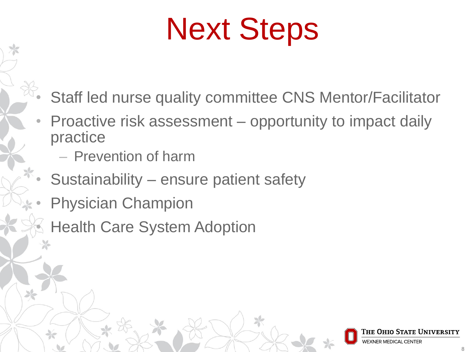## Next Steps

- Staff led nurse quality committee CNS Mentor/Facilitator
- Proactive risk assessment opportunity to impact daily practice
	- ‒ Prevention of harm
- Sustainability ensure patient safety
- Physician Champion
	- **Health Care System Adoption**

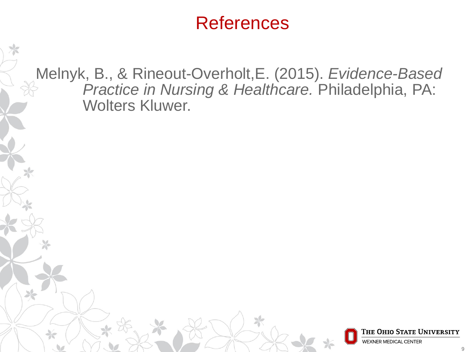#### **References**

Melnyk, B., & Rineout-Overholt,E. (2015). *Evidence-Based Practice in Nursing & Healthcare.* Philadelphia, PA: Wolters Kluwer.